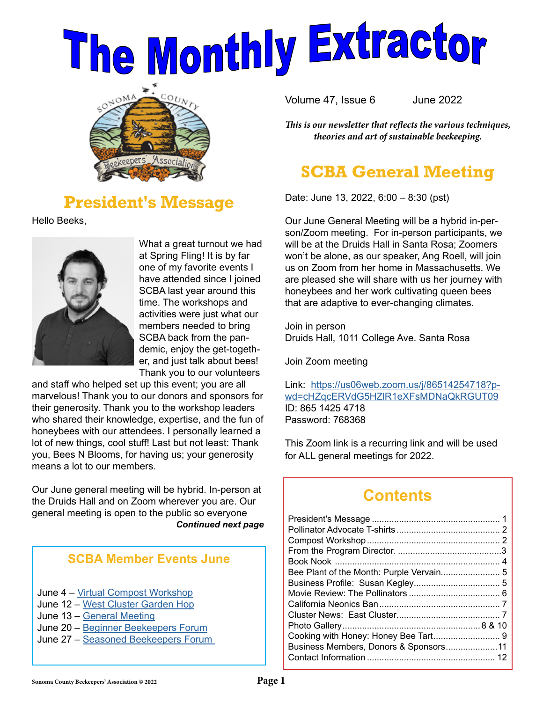# The Monthly Extractor



## **President's Message**

Hello Beeks,



What a great turnout we had at Spring Fling! It is by far one of my favorite events I have attended since I joined SCBA last year around this time. The workshops and activities were just what our members needed to bring SCBA back from the pandemic, enjoy the get-together, and just talk about bees! Thank you to our volunteers

and staff who helped set up this event; you are all marvelous! Thank you to our donors and sponsors for their generosity. Thank you to the workshop leaders who shared their knowledge, expertise, and the fun of honeybees with our attendees. I personally learned a lot of new things, cool stuff! Last but not least: Thank you, Bees N Blooms, for having us; your generosity means a lot to our members.

Our June general meeting will be hybrid. In-person at the Druids Hall and on Zoom wherever you are. Our general meeting is open to the public so everyone *Continued next page*

#### **SCBA Member Events June**

- June 4 – [Virtual Compost Workshop](https://www.sonomabees.org/event-4840341 )
- June 12 - [West Cluster Garden Hop](https://www.sonomabees.org/event-4814964 )
- June 13 – [General Meeting](https://www.sonomabees.org/event-4840623)
- June 20 – [Beginner Beekeepers Forum](https://www.sonomabees.org/event-4600539)
- June 27 [Seasoned Beekeepers Forum](https://www.sonomabees.org/event-4600529 )

Volume 47, Issue 6 June 2022

*This is our newsletter that reflects the various techniques, theories and art of sustainable beekeeping.*

## **SCBA General Meeting**

Date: June 13, 2022, 6:00 – 8:30 (pst)

Our June General Meeting will be a hybrid in-person/Zoom meeting. For in-person participants, we will be at the Druids Hall in Santa Rosa; Zoomers won't be alone, as our speaker, Ang Roell, will join us on Zoom from her home in Massachusetts. We are pleased she will share with us her journey with honeybees and her work cultivating queen bees that are adaptive to ever-changing climates.

Join in person [D](https://cambp.ucdavis.edu/people/elina-nino )ruids Hall, 1011 College Ave. Santa Rosa

Join Zoom meeting

Link: [https://us06web.zoom.us/j/86514254718?p](https://us06web.zoom.us/j/86514254718?pwd=cHZqcERVdG5HZlR1eXFsMDNaQkRGUT09 )[wd=cHZqcERVdG5HZlR1eXFsMDNaQkRGUT09](https://us06web.zoom.us/j/86514254718?pwd=cHZqcERVdG5HZlR1eXFsMDNaQkRGUT09 ) ID: 865 1425 4718 Password: 768368

This Zoom link is a recurring link and will be used for ALL general meetings for 2022.

## **Contents**

| Business Members, Donors & Sponsors11 |  |
|---------------------------------------|--|
|                                       |  |
|                                       |  |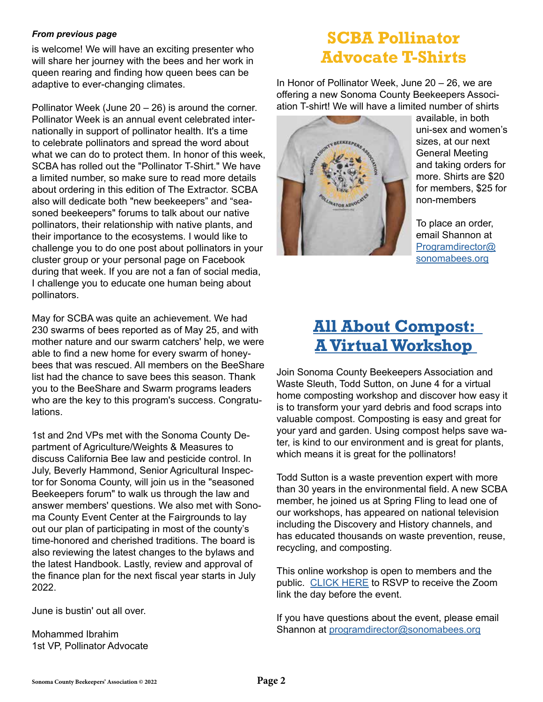#### *From previous page*

is welcome! We will have an exciting presenter who will share her journey with the bees and her work in queen rearing and finding how queen bees can be adaptive to ever-changing climates.

Pollinator Week (June 20 – 26) is around the corner. Pollinator Week is an annual event celebrated internationally in support of pollinator health. It's a time to celebrate pollinators and spread the word about what we can do to protect them. In honor of this week, SCBA has rolled out the "Pollinator T-Shirt." We have a limited number, so make sure to read more details about ordering in this edition of The Extractor. SCBA also will dedicate both "new beekeepers" and "seasoned beekeepers" forums to talk about our native pollinators, their relationship with native plants, and their importance to the ecosystems. I would like to challenge you to do one post about pollinators in your cluster group or your personal page on Facebook during that week. If you are not a fan of social media, I challenge you to educate one human being about pollinators.

May for SCBA was quite an achievement. We had 230 swarms of bees reported as of May 25, and with mother nature and our swarm catchers' help, we were able to find a new home for every swarm of honeybees that was rescued. All members on the BeeShare list had the chance to save bees this season. Thank you to the BeeShare and Swarm programs leaders who are the key to this program's success. Congratulations.

1st and 2nd VPs met with the Sonoma County Department of Agriculture/Weights & Measures to discuss California Bee law and pesticide control. In July, Beverly Hammond, Senior Agricultural Inspector for Sonoma County, will join us in the "seasoned Beekeepers forum" to walk us through the law and answer members' questions. We also met with Sonoma County Event Center at the Fairgrounds to lay out our plan of participating in most of the county's time-honored and cherished traditions. The board is also reviewing the latest changes to the bylaws and the latest Handbook. Lastly, review and approval of the finance plan for the next fiscal year starts in July 2022.

June is bustin' out all over.

Mohammed Ibrahim 1st VP, Pollinator Advocate

## **SCBA Pollinator Advocate T-Shirts**

In Honor of Pollinator Week, June 20 – 26, we are offering a new Sonoma County Beekeepers Association T-shirt! We will have a limited number of shirts



available, in both uni-sex and women's sizes, at our next General Meeting and taking orders for more. Shirts are \$20 for members, \$25 for non-members

To place an order, email Shannon at [Programdirector@](mailto:Programdirector%40sonomabees.org%20?subject=) [sonomabees.org](mailto:Programdirector%40sonomabees.org%20?subject=)

## **[All About Compost:](https://www.sonomabees.org/event-4840341)  [A Virtual Workshop](https://www.sonomabees.org/event-4840341)**

Join Sonoma County Beekeepers Association and Waste Sleuth, Todd Sutton, on June 4 for a virtual home composting workshop and discover how easy it is to transform your yard debris and food scraps into valuable compost. Composting is easy and great for your yard and garden. Using compost helps save water, is kind to our environment and is great for plants, which means it is great for the pollinators!

Todd Sutton is a waste prevention expert with more than 30 years in the environmental field. A new SCBA member, he joined us at Spring Fling to lead one of our workshops, has appeared on national television including the Discovery and History channels, and has educated thousands on waste prevention, reuse, recycling, and composting.

This online workshop is open to members and the public. [CLICK HERE](https://www.sonomabees.org/event-4840341) to RSVP to receive the Zoom link the day before the event.

If you have questions about the event, please email Shannon at [programdirector@sonomabees.org](mailto:programdirector%40sonomabees.org?subject=)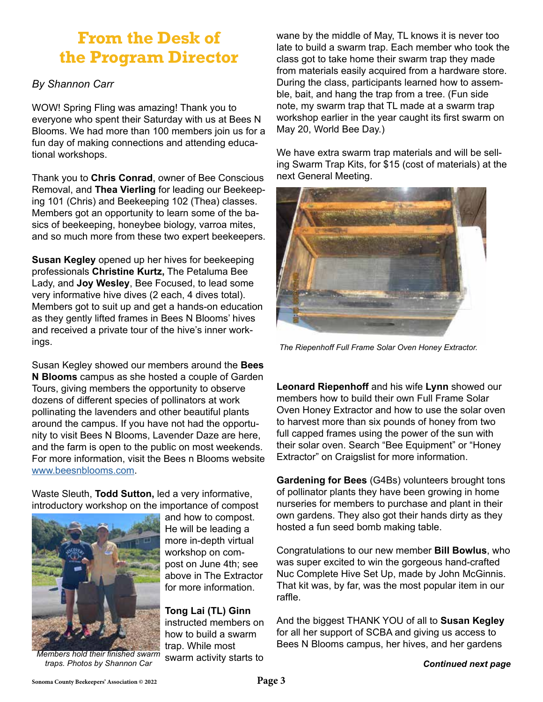## **From the Desk of the Program Director**

#### *By Shannon Carr*

WOW! Spring Fling was amazing! Thank you to everyone who spent their Saturday with us at Bees N Blooms. We had more than 100 members join us for a fun day of making connections and attending educational workshops.

Thank you to **Chris Conrad**, owner of Bee Conscious Removal, and **Thea Vierling** for leading our Beekeeping 101 (Chris) and Beekeeping 102 (Thea) classes. Members got an opportunity to learn some of the basics of beekeeping, honeybee biology, varroa mites, and so much more from these two expert beekeepers.

**Susan Kegley** opened up her hives for beekeeping professionals **Christine Kurtz,** The Petaluma Bee Lady, and **Joy Wesley**, Bee Focused, to lead some very informative hive dives (2 each, 4 dives total). Members got to suit up and get a hands-on education as they gently lifted frames in Bees N Blooms' hives and received a private tour of the hive's inner workings.

Susan Kegley showed our members around the **Bees N Blooms** campus as she hosted a couple of Garden Tours, giving members the opportunity to observe dozens of different species of pollinators at work pollinating the lavenders and other beautiful plants around the campus. If you have not had the opportunity to visit Bees N Blooms, Lavender Daze are here, and the farm is open to the public on most weekends. For more information, visit the Bees n Blooms website [www.beesnblooms.com.](http://www.beesnblooms.com)

Waste Sleuth, **Todd Sutton,** led a very informative, introductory workshop on the importance of compost



and how to compost. He will be leading a more in-depth virtual workshop on compost on June 4th; see above in The Extractor for more information.

**Tong Lai (TL) Ginn** instructed members on how to build a swarm trap. While most swarm activity starts to

*Members hold their finished swarm traps. Photos by Shannon Car*

wane by the middle of May, TL knows it is never too late to build a swarm trap. Each member who took the class got to take home their swarm trap they made from materials easily acquired from a hardware store. During the class, participants learned how to assemble, bait, and hang the trap from a tree. (Fun side note, my swarm trap that TL made at a swarm trap workshop earlier in the year caught its first swarm on May 20, World Bee Day.)

We have extra swarm trap materials and will be selling Swarm Trap Kits, for \$15 (cost of materials) at the next General Meeting.



*The Riepenhoff Full Frame Solar Oven Honey Extractor.*

**Leonard Riepenhoff** and his wife **Lynn** showed our members how to build their own Full Frame Solar Oven Honey Extractor and how to use the solar oven to harvest more than six pounds of honey from two full capped frames using the power of the sun with their solar oven. Search "Bee Equipment" or "Honey Extractor" on Craigslist for more information.

**Gardening for Bees** (G4Bs) volunteers brought tons of pollinator plants they have been growing in home nurseries for members to purchase and plant in their own gardens. They also got their hands dirty as they hosted a fun seed bomb making table.

Congratulations to our new member **Bill Bowlus**, who was super excited to win the gorgeous hand-crafted Nuc Complete Hive Set Up, made by John McGinnis. That kit was, by far, was the most popular item in our raffle.

And the biggest THANK YOU of all to **Susan Kegley**  for all her support of SCBA and giving us access to Bees N Blooms campus, her hives, and her gardens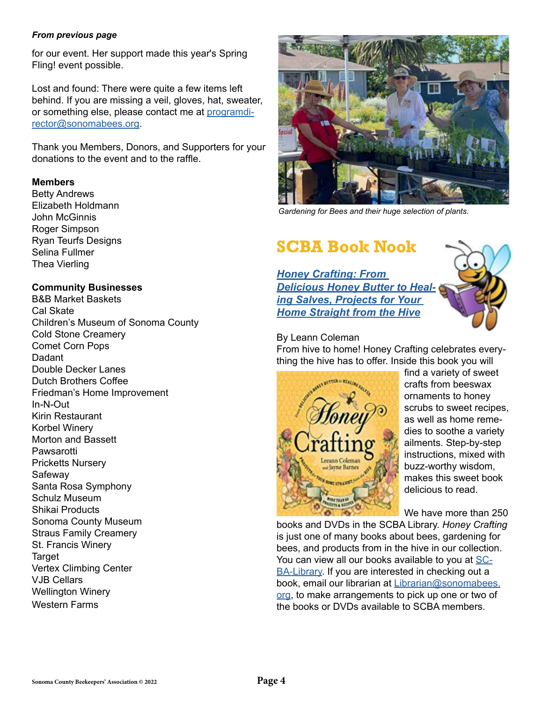#### *From previous page*

for our event. Her support made this year's Spring Fling! event possible.

Lost and found: There were quite a few items left behind. If you are missing a veil, gloves, hat, sweater, or something else, please contact me at [programdi](mailto:programdirector%40sonomabees.org?subject=)[rector@sonomabees.org](mailto:programdirector%40sonomabees.org?subject=).

Thank you Members, Donors, and Supporters for your donations to the event and to the raffle.

#### **Members**

Betty Andrews Elizabeth Holdmann John McGinnis Roger Simpson Ryan Teurfs Designs Selina Fullmer Thea Vierling

#### **Community Businesses**

B&B Market Baskets Cal Skate Children's Museum of Sonoma County Cold Stone Creamery Comet Corn Pops **Dadant** Double Decker Lanes Dutch Brothers Coffee Friedman's Home Improvement In-N-Out Kirin Restaurant Korbel Winery Morton and Bassett Pawsarotti Pricketts Nursery Safeway Santa Rosa Symphony Schulz Museum Shikai Products Sonoma County Museum Straus Family Creamery St. Francis Winery **Target** Vertex Climbing Center VJB Cellars Wellington Winery Western Farms



*Gardening for Bees and their huge selection of plants.*

## **SCBA Book Nook**

*[Honey Crafting: From](https://www.librarycat.org/lib/SCBA-Library/item/201727270

 )  [Delicious Honey Butter to Heal](https://www.librarycat.org/lib/SCBA-Library/item/201727270

 )[ing Salves, Projects for Your](https://www.librarycat.org/lib/SCBA-Library/item/201727270

 )  [Home Straight from the Hive](https://www.librarycat.org/lib/SCBA-Library/item/201727270

 )*



By Leann Coleman From hive to home! Honey Crafting celebrates everything the hive has to offer. Inside this book you will



find a variety of sweet crafts from beeswax ornaments to honey scrubs to sweet recipes, as well as home remedies to soothe a variety ailments. Step-by-step instructions, mixed with buzz-worthy wisdom, makes this sweet book delicious to read.

We have more than 250

books and DVDs in the SCBA Library. *Honey Crafting* is just one of many books about bees, gardening for bees, and products from in the hive in our collection. You can view all our books available to you at [SC](https://www.librarycat.org/lib/SCBA-Library)-[BA-Librar](https://www.librarycat.org/lib/SCBA-Library)y. If you are interested in checking out a book, email our librarian at [Librarian@sonomabees.](mailto:Librarian%40sonomabees.org?subject=) [org,](mailto:Librarian%40sonomabees.org?subject=) to make arrangements to pick up one or two of the books or DVDs available to SCBA members.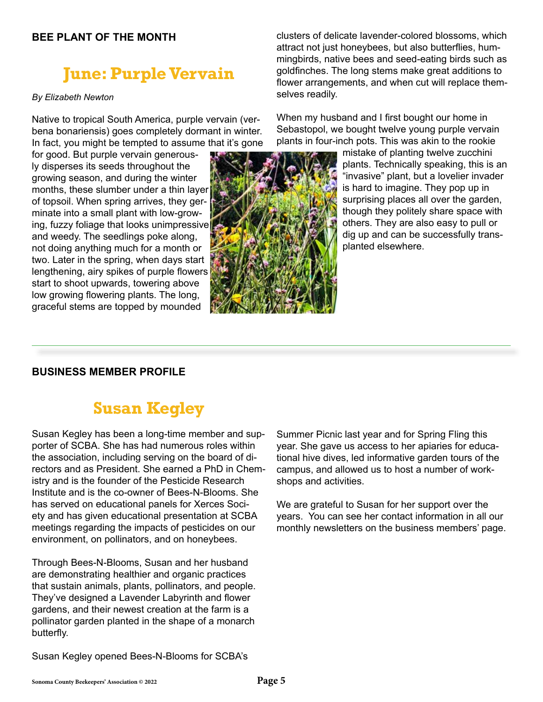#### **BEE PLANT OF THE MONTH**

# **June: Purple Vervain**

#### *By Elizabeth Newton*

Native to tropical South America, purple vervain (verbena bonariensis) goes completely dormant in winter. In fact, you might be tempted to assume that it's gone

for good. But purple vervain generously disperses its seeds throughout the growing season, and during the winter months, these slumber under a thin layer of topsoil. When spring arrives, they germinate into a small plant with low-growing, fuzzy foliage that looks unimpressive and weedy. The seedlings poke along, not doing anything much for a month or two. Later in the spring, when days start lengthening, airy spikes of purple flowers start to shoot upwards, towering above low growing flowering plants. The long, graceful stems are topped by mounded



clusters of delicate lavender-colored blossoms, which attract not just honeybees, but also butterflies, hummingbirds, native bees and seed-eating birds such as goldfinches. The long stems make great additions to flower arrangements, and when cut will replace themselves readily.

When my husband and I first bought our home in Sebastopol, we bought twelve young purple vervain plants in four-inch pots. This was akin to the rookie

> mistake of planting twelve zucchini plants. Technically speaking, this is an "invasive" plant, but a lovelier invader is hard to imagine. They pop up in surprising places all over the garden, though they politely share space with others. They are also easy to pull or dig up and can be successfully transplanted elsewhere.

#### **BUSINESS MEMBER PROFILE**

## **Susan Kegley**

Susan Kegley has been a long-time member and supporter of SCBA. She has had numerous roles within the association, including serving on the board of directors and as President. She earned a PhD in Chemistry and is the founder of the Pesticide Research Institute and is the co-owner of Bees-N-Blooms. She has served on educational panels for Xerces Society and has given educational presentation at SCBA meetings regarding the impacts of pesticides on our environment, on pollinators, and on honeybees.

Through Bees-N-Blooms, Susan and her husband are demonstrating healthier and organic practices that sustain animals, plants, pollinators, and people. They've designed a Lavender Labyrinth and flower gardens, and their newest creation at the farm is a pollinator garden planted in the shape of a monarch butterfly.

Summer Picnic last year and for Spring Fling this year. She gave us access to her apiaries for educational hive dives, led informative garden tours of the campus, and allowed us to host a number of workshops and activities.

We are grateful to Susan for her support over the years. You can see her contact information in all our monthly newsletters on the business members' page.

Susan Kegley opened Bees-N-Blooms for SCBA's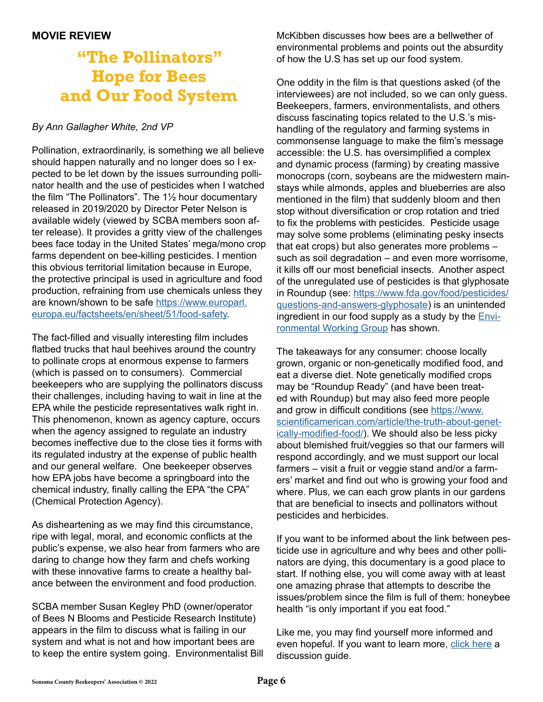## **"The Pollinators" Hope for Bees and Our Food System**

#### *By Ann Gallagher White, 2nd VP*

Pollination, extraordinarily, is something we all believe should happen naturally and no longer does so I expected to be let down by the issues surrounding pollinator health and the use of pesticides when I watched the film "The Pollinators". The 1½ hour documentary released in 2019/2020 by Director Peter Nelson is available widely (viewed by SCBA members soon after release). It provides a gritty view of the challenges bees face today in the United States' mega/mono crop farms dependent on bee-killing pesticides. I mention this obvious territorial limitation because in Europe, the protective principal is used in agriculture and food production, refraining from use chemicals unless they are known/shown to be safe [https://www.europarl.](https://www.europarl.europa.eu/factsheets/en/sheet/51/food-safety) [europa.eu/factsheets/en/sheet/51/food-safety](https://www.europarl.europa.eu/factsheets/en/sheet/51/food-safety).

The fact-filled and visually interesting film includes flatbed trucks that haul beehives around the country to pollinate crops at enormous expense to farmers (which is passed on to consumers). Commercial beekeepers who are supplying the pollinators discuss their challenges, including having to wait in line at the EPA while the pesticide representatives walk right in. This phenomenon, known as agency capture, occurs when the agency assigned to regulate an industry becomes ineffective due to the close ties it forms with its regulated industry at the expense of public health and our general welfare. One beekeeper observes how EPA jobs have become a springboard into the chemical industry, finally calling the EPA "the CPA" (Chemical Protection Agency).

As disheartening as we may find this circumstance, ripe with legal, moral, and economic conflicts at the public's expense, we also hear from farmers who are daring to change how they farm and chefs working with these innovative farms to create a healthy balance between the environment and food production.

SCBA member Susan Kegley PhD (owner/operator of Bees N Blooms and Pesticide Research Institute) appears in the film to discuss what is failing in our system and what is not and how important bees are to keep the entire system going. Environmentalist Bill McKibben discusses how bees are a bellwether of environmental problems and points out the absurdity of how the U.S has set up our food system.

One oddity in the film is that questions asked (of the interviewees) are not included, so we can only guess. Beekeepers, farmers, environmentalists, and others discuss fascinating topics related to the U.S.'s mishandling of the regulatory and farming systems in commonsense language to make the film's message accessible: the U.S. has oversimplified a complex and dynamic process (farming) by creating massive monocrops (corn, soybeans are the midwestern mainstays while almonds, apples and blueberries are also mentioned in the film) that suddenly bloom and then stop without diversification or crop rotation and tried to fix the problems with pesticides. Pesticide usage may solve some problems (eliminating pesky insects that eat crops) but also generates more problems – such as soil degradation – and even more worrisome, it kills off our most beneficial insects. Another aspect of the unregulated use of pesticides is that glyphosate in Roundup (see: [https://www.fda.gov/food/pesticides/](https://www.fda.gov/food/pesticides/questions-and-answers-glyphosate) [questions-and-answers-glyphosate](https://www.fda.gov/food/pesticides/questions-and-answers-glyphosate)) is an unintended ingredient in our food supply as a study by the  $Envi$ [ronmental Working Group](https://www.ewg.org/news-insights/news-release/roundup-breakfast-part-2-new-tests-weed-killer-found-all-kids-cereals) has shown.

The takeaways for any consumer: choose locally grown, organic or non-genetically modified food, and eat a diverse diet. Note genetically modified crops may be "Roundup Ready" (and have been treated with Roundup) but may also feed more people and grow in difficult conditions (see [https://www.](https://www.scientificamerican.com/article/the-truth-about-genetically-modified-food/) [scientificamerican.com/article/the-truth-about-genet](https://www.scientificamerican.com/article/the-truth-about-genetically-modified-food/)[ically-modified-food/\)](https://www.scientificamerican.com/article/the-truth-about-genetically-modified-food/). We should also be less picky about blemished fruit/veggies so that our farmers will respond accordingly, and we must support our local farmers – visit a fruit or veggie stand and/or a farmers' market and find out who is growing your food and where. Plus, we can each grow plants in our gardens that are beneficial to insects and pollinators without pesticides and herbicides.

If you want to be informed about the link between pesticide use in agriculture and why bees and other pollinators are dying, this documentary is a good place to start. If nothing else, you will come away with at least one amazing phrase that attempts to describe the issues/problem since the film is full of them: honeybee health "is only important if you eat food."

Like me, you may find yourself more informed and even hopeful. If you want to learn more, [click here](https://static1.squarespace.com/static/58b302936a4963bcd4d939e7/t/622277724fedc00f3f61e3ea/1646425972853/ThePollinators_DiscussionGuide_web_2022.pdf) a discussion guide.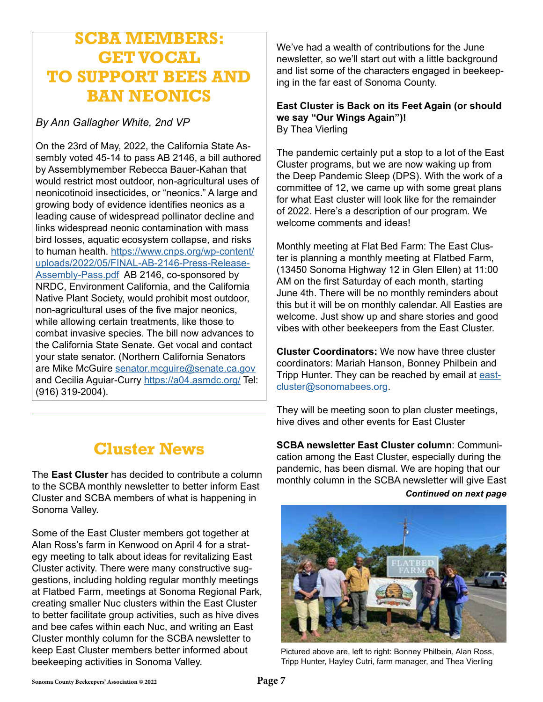## **SCBA MEMBERS: GET VOCAL TO SUPPORT BEES AND BAN NEONICS**

*By Ann Gallagher White, 2nd VP* 

On the 23rd of May, 2022, the California State Assembly voted 45-14 to pass AB 2146, a bill authored by Assemblymember Rebecca Bauer-Kahan that would restrict most outdoor, non-agricultural uses of neonicotinoid insecticides, or "neonics." A large and growing body of evidence identifies neonics as a leading cause of widespread pollinator decline and links widespread neonic contamination with mass bird losses, aquatic ecosystem collapse, and risks to human health. [https://www.cnps.org/wp-content/](https://www.cnps.org/wp-content/uploads/2022/05/FINAL-AB-2146-Press-Release-Assembly-Pass.pdf) [uploads/2022/05/FINAL-AB-2146-Press-Release-](https://www.cnps.org/wp-content/uploads/2022/05/FINAL-AB-2146-Press-Release-Assembly-Pass.pdf)[Assembly-Pass.pdf](https://www.cnps.org/wp-content/uploads/2022/05/FINAL-AB-2146-Press-Release-Assembly-Pass.pdf) AB 2146, co-sponsored by NRDC, Environment California, and the California Native Plant Society, would prohibit most outdoor, non-agricultural uses of the five major neonics, while allowing certain treatments, like those to combat invasive species. The bill now advances to the California State Senate. Get vocal and contact your state senator. (Northern California Senators are Mike McGuire [senator.mcguire@senate.ca.gov](mailto:senator.mcguire%40senate.ca.gov?subject=) and Cecilia Aguiar-Curry <https://a04.asmdc.org/> Tel: (916) 319-2004).

# **Cluster News**

The **East Cluster** has decided to contribute a column to the SCBA monthly newsletter to better inform East Cluster and SCBA members of what is happening in Sonoma Valley.

Some of the East Cluster members got together at Alan Ross's farm in Kenwood on April 4 for a strategy meeting to talk about ideas for revitalizing East Cluster activity. There were many constructive suggestions, including holding regular monthly meetings at Flatbed Farm, meetings at Sonoma Regional Park, creating smaller Nuc clusters within the East Cluster to better facilitate group activities, such as hive dives and bee cafes within each Nuc, and writing an East Cluster monthly column for the SCBA newsletter to keep East Cluster members better informed about beekeeping activities in Sonoma Valley.

We've had a wealth of contributions for the June newsletter, so we'll start out with a little background and list some of the characters engaged in beekeeping in the far east of Sonoma County.

#### **East Cluster is Back on its Feet Again (or should we say "Our Wings Again")!** By Thea Vierling

The pandemic certainly put a stop to a lot of the East Cluster programs, but we are now waking up from the Deep Pandemic Sleep (DPS). With the work of a committee of 12, we came up with some great plans for what East cluster will look like for the remainder of 2022. Here's a description of our program. We welcome comments and ideas!

Monthly meeting at Flat Bed Farm: The East Cluster is planning a monthly meeting at Flatbed Farm, (13450 Sonoma Highway 12 in Glen Ellen) at 11:00 AM on the first Saturday of each month, starting June 4th. There will be no monthly reminders about this but it will be on monthly calendar. All Easties are welcome. Just show up and share stories and good vibes with other beekeepers from the East Cluster.

**Cluster Coordinators:** We now have three cluster coordinators: Mariah Hanson, Bonney Philbein and Tripp Hunter. They can be reached by email at [east](mailto:eastcluster%40sonomabees.org?subject=)[cluster@sonomabees.org.](mailto:eastcluster%40sonomabees.org?subject=)

They will be meeting soon to plan cluster meetings, hive dives and other events for East Cluster

**SCBA newsletter East Cluster column**: Communication among the East Cluster, especially during the pandemic, has been dismal. We are hoping that our monthly column in the SCBA newsletter will give East *Continued on next page*



Pictured above are, left to right: Bonney Philbein, Alan Ross, Tripp Hunter, Hayley Cutri, farm manager, and Thea Vierling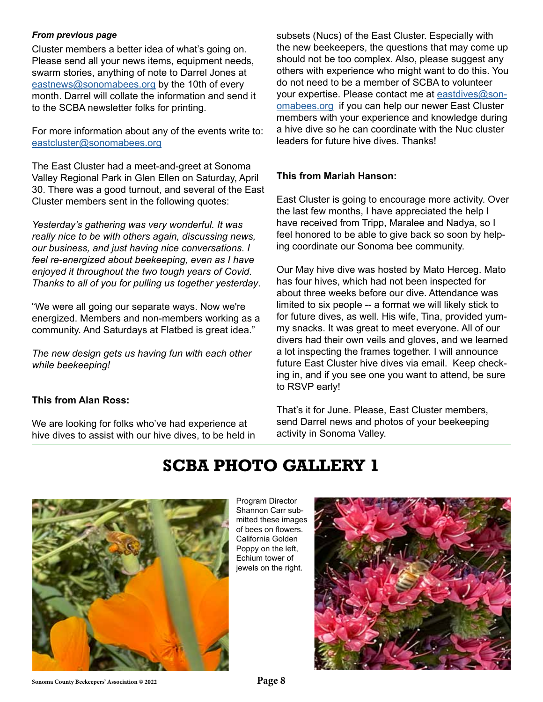#### *From previous page*

Cluster members a better idea of what's going on. Please send all your news items, equipment needs, swarm stories, anything of note to Darrel Jones at [eastnews@sonomabees.org](mailto:eastnews%40sonomabees.org?subject=) by the 10th of every month. Darrel will collate the information and send it to the SCBA newsletter folks for printing.

For more information about any of the events write to: [eastcluster@sonomabees.org](mailto:eastcluster%40sonomabees.org?subject=)

The East Cluster had a meet-and-greet at Sonoma Valley Regional Park in Glen Ellen on Saturday, April 30. There was a good turnout, and several of the East Cluster members sent in the following quotes:

*Yesterday's gathering was very wonderful. It was really nice to be with others again, discussing news, our business, and just having nice conversations. I feel re-energized about beekeeping, even as I have enjoyed it throughout the two tough years of Covid. Thanks to all of you for pulling us together yesterday*.

"We were all going our separate ways. Now we're energized. Members and non-members working as a community. And Saturdays at Flatbed is great idea."

*The new design gets us having fun with each other while beekeeping!*

#### **This from Alan Ross:**

We are looking for folks who've had experience at hive dives to assist with our hive dives, to be held in

subsets (Nucs) of the East Cluster. Especially with the new beekeepers, the questions that may come up should not be too complex. Also, please suggest any others with experience who might want to do this. You do not need to be a member of SCBA to volunteer your expertise. Please contact me at [eastdives@son](mailto:eastdives%40sonomabees.org?subject=)[omabees.org](mailto:eastdives%40sonomabees.org?subject=) if you can help our newer East Cluster members with your experience and knowledge during a hive dive so he can coordinate with the Nuc cluster leaders for future hive dives. Thanks!

#### **This from Mariah Hanson:**

East Cluster is going to encourage more activity. Over the last few months, I have appreciated the help I have received from Tripp, Maralee and Nadya, so I feel honored to be able to give back so soon by helping coordinate our Sonoma bee community.

Our May hive dive was hosted by Mato Herceg. Mato has four hives, which had not been inspected for about three weeks before our dive. Attendance was limited to six people -- a format we will likely stick to for future dives, as well. His wife, Tina, provided yummy snacks. It was great to meet everyone. All of our divers had their own veils and gloves, and we learned a lot inspecting the frames together. I will announce future East Cluster hive dives via email. Keep checking in, and if you see one you want to attend, be sure to RSVP early!

That's it for June. Please, East Cluster members, send Darrel news and photos of your beekeeping activity in Sonoma Valley.

# **SCBA PHOTO GALLERY 1**



Program Director Shannon Carr submitted these images of bees on flowers. California Golden Poppy on the left, Echium tower of jewels on the right.

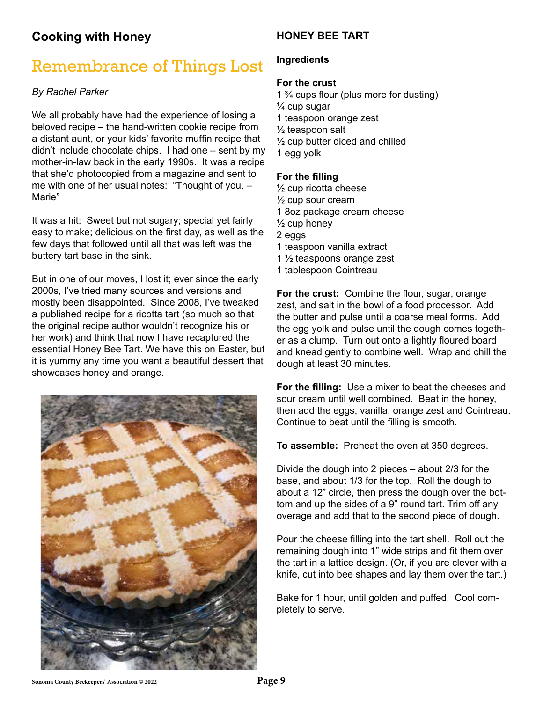### **Cooking with Honey**

## Remembrance of Things Lost

#### *By Rachel Parker*

We all probably have had the experience of losing a beloved recipe – the hand-written cookie recipe from a distant aunt, or your kids' favorite muffin recipe that didn't include chocolate chips. I had one – sent by my mother-in-law back in the early 1990s. It was a recipe that she'd photocopied from a magazine and sent to me with one of her usual notes: "Thought of you. – Marie"

It was a hit: Sweet but not sugary; special yet fairly easy to make; delicious on the first day, as well as the few days that followed until all that was left was the buttery tart base in the sink.

But in one of our moves, I lost it; ever since the early 2000s, I've tried many sources and versions and mostly been disappointed. Since 2008, I've tweaked a published recipe for a ricotta tart (so much so that the original recipe author wouldn't recognize his or her work) and think that now I have recaptured the essential Honey Bee Tart. We have this on Easter, but it is yummy any time you want a beautiful dessert that showcases honey and orange.



#### **HONEY BEE TART**

#### **Ingredients**

#### **For the crust**

1 ¾ cups flour (plus more for dusting) ¼ cup sugar 1 teaspoon orange zest ½ teaspoon salt ½ cup butter diced and chilled 1 egg yolk

#### **For the filling**

½ cup ricotta cheese ½ cup sour cream 1 8oz package cream cheese  $\frac{1}{2}$  cup honey 2 eggs 1 teaspoon vanilla extract 1 ½ teaspoons orange zest 1 tablespoon Cointreau

**For the crust:** Combine the flour, sugar, orange zest, and salt in the bowl of a food processor. Add the butter and pulse until a coarse meal forms. Add the egg yolk and pulse until the dough comes together as a clump. Turn out onto a lightly floured board and knead gently to combine well. Wrap and chill the dough at least 30 minutes.

**For the filling:** Use a mixer to beat the cheeses and sour cream until well combined. Beat in the honey, then add the eggs, vanilla, orange zest and Cointreau. Continue to beat until the filling is smooth.

**To assemble:** Preheat the oven at 350 degrees.

Divide the dough into 2 pieces – about 2/3 for the base, and about 1/3 for the top. Roll the dough to about a 12" circle, then press the dough over the bottom and up the sides of a 9" round tart. Trim off any overage and add that to the second piece of dough.

Pour the cheese filling into the tart shell. Roll out the remaining dough into 1" wide strips and fit them over the tart in a lattice design. (Or, if you are clever with a knife, cut into bee shapes and lay them over the tart.)

Bake for 1 hour, until golden and puffed. Cool completely to serve.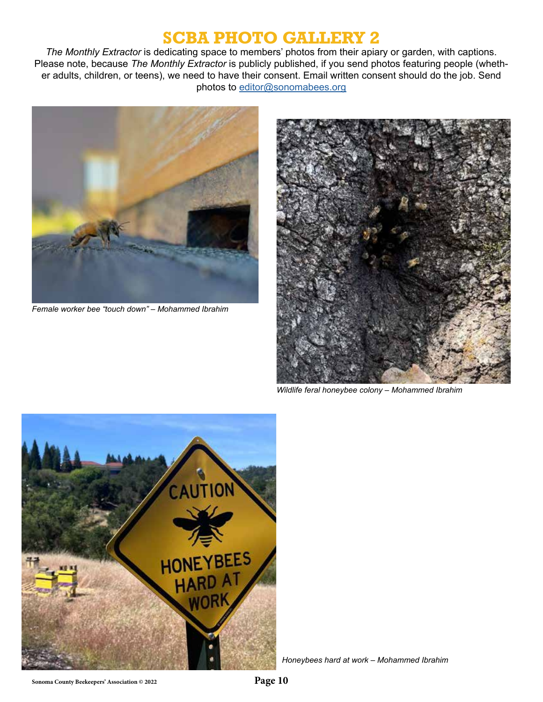## **SCBA PHOTO GALLERY 2**

*The Monthly Extractor* is dedicating space to members' photos from their apiary or garden, with captions. Please note, because *The Monthly Extractor* is publicly published, if you send photos featuring people (whether adults, children, or teens), we need to have their consent. Email written consent should do the job. Send photos to editor@sonomabees.org



*Female worker bee "touch down" – Mohammed Ibrahim*



*Wildlife feral honeybee colony – Mohammed Ibrahim*



*Honeybees hard at work – Mohammed Ibrahim*

**Sonoma County Beekeepers' Association © 2022 Page 10**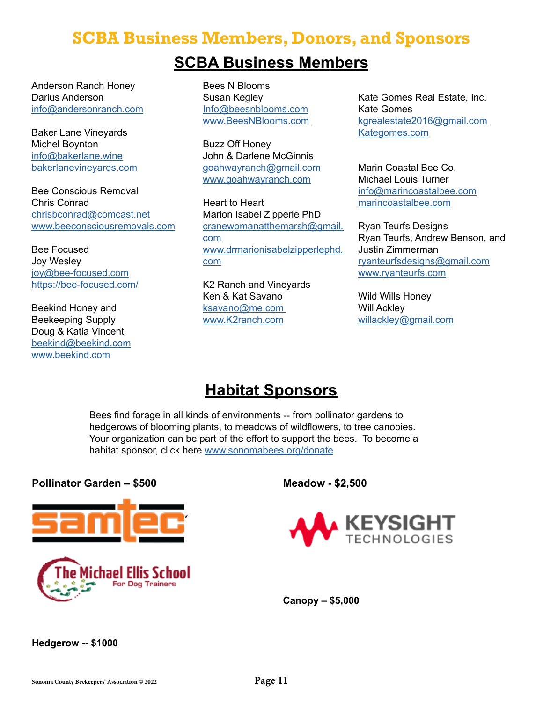## **SCBA Business Members, Donors, and Sponsors**

## **SCBA Business Members**

Anderson Ranch Honey Darius Anderson info@andersonranch.com

Baker Lane Vineyards Michel Boynton info@bakerlane.wine bakerlanevineyards.com

Bee Conscious Removal Chris Conrad chrisbconrad@comcast.net www.beeconsciousremovals.com

Bee Focused Joy Wesley joy@bee-focused.com https://bee-focused.com/

Beekind Honey and Beekeeping Supply Doug & Katia Vincent beekind@beekind.com www.beekind.com

Bees N Blooms Susan Kegley Info@beesnblooms.com www.BeesNBlooms.com

Buzz Off Honey John & Darlene McGinnis goahwayranch@gmail.com www.goahwayranch.com

Heart to Heart Marion Isabel Zipperle PhD cranewomanatthemarsh@gmail. com www.drmarionisabelzipperlephd. com

K2 Ranch and Vineyards Ken & Kat Savano ksavano@me.com www.K2ranch.com

Kate Gomes Real Estate, Inc. Kate Gomes kgrealestate2016@gmail.com Kategomes.com

Marin Coastal Bee Co. Michael Louis Turner info@marincoastalbee.com marincoastalbee.com

Ryan Teurfs Designs Ryan Teurfs, Andrew Benson, and Justin Zimmerman ryanteurfsdesigns@gmail.com www.ryanteurfs.com

Wild Wills Honey Will Ackley willackley@gmail.com

## **Habitat Sponsors**

Bees find forage in all kinds of environments -- from pollinator gardens to hedgerows of blooming plants, to meadows of wildflowers, to tree canopies. Your organization can be part of the effort to support the bees. To become a habitat sponsor, click here [www.sonomabees.org/donate](http://www.sonomabees.org/donate)

#### **Pollinator Garden – \$500**





**Meadow - \$2,500**



**Canopy – \$5,000**

#### **Hedgerow -- \$1000**